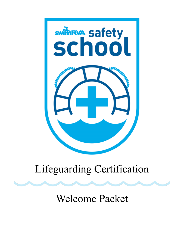

# Lifeguarding Certification

# Welcome Packet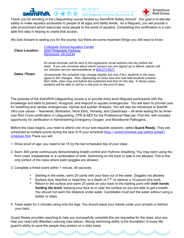

Thank you for enrolling in the Lifeguarding course hosted by SwimRVA Safety School! Our goal is to elevate safety to make aquatics accessible to people of all ages and ability levels. As a lifeguard, you will provide a safe environment which welcomes more people to the world of aquatics. Completing this certification is a valuable first step in helping to create that access.

We look forward to seeing you for the course, but there are some important things you will need to know.

*Class Location: [Collegiate School Aquatics Center](https://www.google.com/maps/place/5050+Ridgedale+Pkwy,+Richmond,+VA+23234/@37.4496307,-77.4922805,17z/data=!3m1!4b1!4m2!3m1!1s0x89b10dc7fd876715:0x509f949a60a29d84) 5050 Ridgedale Parkway Richmond, VA 23234*

> *An email reminder will be sent to the registration email address the day before the class. If you are uncertain about which session you are signed up to attend, please call our member service representatives at 804-271-8271.*

*Dates /Times: Occasionally, the schedule may change slightly, but only if ALL students in the class agree to the changes. Also, depending on class size and how well students practice their skills, class may end before the published end time for the day. In these cases, students will be able to call for a ride prior to the end of class.*

The purpose of the SwimRVA Lifeguarding course is to provide entry-level lifeguard participants with the knowledge and skills to prevent, recognize, and respond to aquatic emergencies. You will learn to provide care for breathing and cardiac emergencies, injuries and sudden illnesses. You will also be introduced to SwimR-VA's core values – Teamwork, Motivation, Work Ethic, Honesty, and Cleanliness – all while testing for an American Red Cross certification in Lifeguarding, CPR & AED for the Professional Rescuer, First Aid, with included opportunity for certification in Administering Emergency Oxygen, and Bloodborne Pathogens.

Before the class begins, you need to attend one of our pre-requisite sessions, called **Guard Ready**. They are scheduled at multiple points during the year to fit your schedule [http://swimrichmond.org/safety-school/](http://swimrichmond.org/safety-school/schedule.htm) [schedule.htm](http://swimrichmond.org/safety-school/schedule.htm) There you will:

- 1. Show proof of age: you need to be 15 by the last scheduled day of your class.
- 2. Swim 300 yards continuously demonstrating breath control and rhythmic breathing. You may swim using the front crawl, breaststroke or a combination of both. Swimming on the back or side is not allowed. This is the *only* portion of the class where swim goggles are allowed.
- 3. Complete a timed event within 1 minute, 40 seconds.
	- Starting in the water, swim 20 yards with your face out of the water. Goggles not allowed.
	- Surface dive, feet-first or head-first, to a depth of 7'7" to retrieve a 10-pound dive brick.
	- Return to the surface and swim 20 yards on your back to the starting point with *both hands holding the brick*, keeping your face at or near the surface so you are able to get a breath. You should not swim the distance under water. Candidates must exit the water without using a ladder or steps.
- 4. Tread water for 2 minutes using only the legs. You should place your hands under your armpits or behind your back.

Guard Ready provides coaching to help you successfully complete the pre-requisites for the class, plus any help you need with Blended Learning (see below). Strong swimming ability is the foundation of every lifeguard's ability to save the people they protect on a daily basis.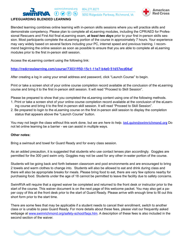804.271.8271

5050 Ridgedale Parkway, Richmond, VA



## **LIFEGUARDING BLENDED LEARNING**

Blended learning combines online learning with in-person skills sessions where you will practice skills and demonstrate competency. Please plan to complete all eLearning modules, including the CPR/AED for Professional Rescuers and First Aid final eLearning exam, *at least two days* prior to your first in-person skills session. Most participants complete the eLearning portion of the course in approximately 7 hours. Your experience may vary widely based on several factors including your PC, internet speed and previous training. I recommend beginning the online session as soon as possible to ensure that you are able to complete all eLearning modules prior to the first in-person skill session.

Access the eLearning content using the following link:

### **<http://redcrosslearning.com/course/73031950-15c1-11e7-b4e0-51657ecd06af>**

swimrichmond.org

After creating a log in using your email address and password, click "Launch Course" to begin.

Print or take a screen shot of your online course completion record available at the conclusion of the eLearning course and bring it to the first in-person skill session. It will read "Proceed to Skill Session".

Please be prepared to show that you completed the eLearning content using one of the following methods.

- 1. Print or take a screen shot of your online course completion record available at the conclusion of the eLearning course and bring it to the first in-person skill session. It will read "Proceed to Skill Session".
- 2. Be prepared to login to the eLearning course on the first in-person skill session to display the completion status that appears above the "Launch Course" button.

You may not begin the class without this work done, but *we are here to help*. [ted.quinn@swimrichmond.org](mailto:ted.quinn@swimrichmond.org) Do not let online learning be a barrier - we can assist in multiple ways.

#### **Other notes:**

Bring a swimsuit and towel for Guard Ready and for every class session.

As an added precaution, it is suggested that students who use contact lenses plan accordingly. Goggles are permitted for the 300 yard swim only. Goggles may not be used for any other in-water portion of the course.

Students will be going back and forth between classroom and pool environments and are encouraged to bring 2 towels and warm clothes to change into. Students will also be allowed to eat and drink during class and there will also be appropriate breaks for meals. Please bring food to eat, there are very few options nearby for purchasing food. Students under the age of 18 cannot be permitted to leave the facility due to safety concerns.

SwimRVA will require that a signed waiver be completed and returned to the front desk or instructor prior to the start of the course. This waiver document is on the next page of this welcome packet. You may also get a paper copy of this at the front desk prior to the start of Guard Ready. Please arrive with enough time to fill out this short form prior to the start time.

There are some fees that may be applicable if a student needs to cancel their enrollment, switch to another class or is unable to pass Guard Ready. For more details about these fees, please visit our frequently asked webpage at [www.swimrichmond.org/safety-school/faqs.htm.](http://www.swimrichmond.org/safety-school/faqs.htm) A description of these fees is also included in the second section of the waiver.

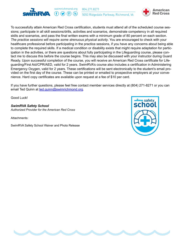

804.271.8271 5050 Ridgedale Parkway, Richmond, VA



To successfully attain American Red Cross certification, students must attend all of the scheduled course sessions; participate in all skill sessions/drills, activities and scenarios, demonstrate competency in all required skills and scenarios, and pass the final written exams with a minimum grade of 80 percent on each section. *The practice sessions will require some strenuous physical activity*. You are encouraged to check with your healthcare professional before participating in the practice sessions, if you have any concerns about being able to complete the required skills. If a medical condition or disability exists that might require adaptation for participation in the activities, or there are questions about fully participating in the Lifeguarding course, please contact me to discuss this before the course begins. This may also be discussed with your instructor during Guard Ready. Upon successful completion of the course, you will receive an American Red Cross certificate for Lifeguarding/First Aid/CPR/AED, valid for 2 years. SwimRVA's course also includes a certification in Administering Emergency Oxygen, valid for 2 years. These certifications will be sent electronically to the student's email provided on the first day of the course. These can be printed or emailed to prospective employers at your convenience. Hard copy certificates are available upon request at a fee of \$10 per card.

If you have further questions, please feel free contact member services directly at (804) 271-8271 or you can email Ted Quinn at [ted.quinn@swimrichmond.org](mailto:ted.quinn@swimrichmond.org).

Good Luck!

*SwimRVA Safety School Authorized Provider for the American Red Cross* 

Attachments:

SwimRVA Safety School Waiver and Photo Release